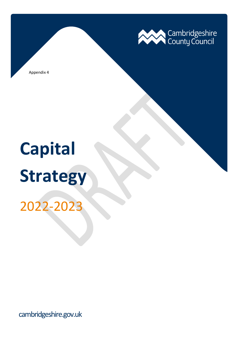

Appendix 4

# **Capital Strategy**

2022-2023

cambridgeshire.gov.uk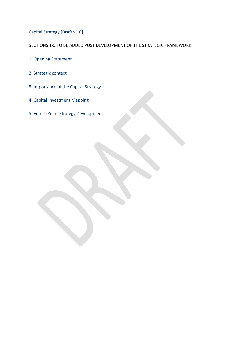Capital Strategy [Draft v1.0]

SECTIONS 1-5 TO BE ADDED POST DEVELOPMENT OF THE STRATEGIC FRAMEWORK

- 1. Opening Statement
- 2. Strategic context
- 3. Importance of the Capital Strategy
- 4. Capital Investment Mapping
- 5. Future Years Strategy Development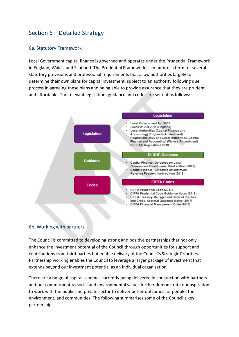# Section 6 – Detailed Strategy

# 6a. Statutory Framework

Local Government capital finance is governed and operates under the Prudential Framework in England, Wales, and Scotland. The Prudential Framework is an umbrella term for several statutory provisions and professional requirements that allow authorities largely to determine their own plans for capital investment, subject to an authority following due process in agreeing these plans and being able to provide assurance that they are prudent and affordable. The relevant legislation, guidance and codes are set out as follows:



## 6b. Working with partners

The Council is committed to developing strong and positive partnerships that not only enhance the investment potential of the Council through opportunities for support and contributions from third parties but enable delivery of the Council's Strategic Priorities. Partnership working enables the Council to leverage a larger package of investment that extends beyond our investment potential as an individual organisation.

There are a range of capital schemes currently being delivered in conjunction with partners and our commitment to social and environmental values further demonstrate our aspiration to work with the public and private sector to deliver better outcomes for people, the environment, and communities. The following summarises some of the Council's key partnerships.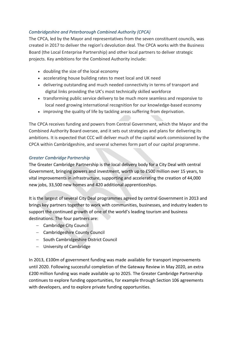# *Cambridgeshire and Peterborough Combined Authority (CPCA)*

The CPCA, led by the Mayor and representatives from the seven constituent councils, was created in 2017 to deliver the region's devolution deal. The CPCA works with the Business Board (the Local Enterprise Partnership) and other local partners to deliver strategic projects. Key ambitions for the Combined Authority include:

- doubling the size of the local economy
- accelerating house building rates to meet local and UK need
- delivering outstanding and much needed connectivity in terms of transport and digital links providing the UK's most technically skilled workforce
- transforming public service delivery to be much more seamless and responsive to local need growing international recognition for our knowledge-based economy
- improving the quality of life by tackling areas suffering from deprivation.

The CPCA receives funding and powers from Central Government, which the Mayor and the Combined Authority Board oversee, and it sets out strategies and plans for delivering its ambitions. It is expected that CCC will deliver much of the capital work commissioned by the CPCA within Cambridgeshire, and several schemes form part of our capital programme.

# *Greater Cambridge Partnership*

The Greater Cambridge Partnership is the local delivery body for a City Deal with central Government, bringing powers and investment, worth up to £500 million over 15 years, to vital improvements in infrastructure, supporting and accelerating the creation of 44,000 new jobs, 33,500 new homes and 420 additional apprenticeships.

It is the largest of several City Deal programmes agreed by central Government in 2013 and brings key partners together to work with communities, businesses, and industry leaders to support the continued growth of one of the world's leading tourism and business destinations. The four partners are:

- − Cambridge City Council
- − Cambridgeshire County Council
- − South Cambridgeshire District Council
- − University of Cambridge

In 2013, £100m of government funding was made available for transport improvements until 2020. Following successful completion of the Gateway Review in May 2020, an extra £200 million funding was made available up to 2025. The Greater Cambridge Partnership continues to explore funding opportunities, for example through Section 106 agreements with developers, and to explore private funding opportunities.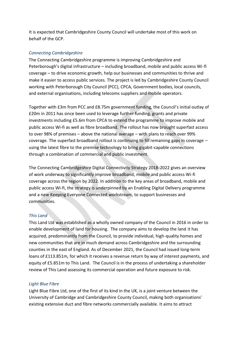It is expected that Cambridgeshire County Council will undertake most of this work on behalf of the GCP.

## *Connecting Cambridgeshire*

The Connecting Cambridgeshire programme is improving Cambridgeshire and Peterborough's digital infrastructure – including broadband, mobile and public access Wi-fi coverage – to drive economic growth, help our businesses and communities to thrive and make it easier to access public services. The project is led by Cambridgeshire County Council working with Peterborough City Council (PCC), CPCA, Government bodies, local councils, and external organisations, including telecoms suppliers and mobile operators.

Together with £3m from PCC and £8.75m government funding, the Council's initial outlay of £20m in 2011 has since been used to leverage further funding, grants and private investments including £5.6m from CPCA to extend the programme to improve mobile and public access Wi-fi as well as fibre broadband. The rollout has now brought superfast access to over 98% of premises – above the national average – with plans to reach over 99% coverage. The superfast broadband rollout is continuing to fill remaining gaps in coverage – using the latest fibre to the premise technology to bring gigabit-capable connections through a combination of commercial and public investment.

The Connecting Cambridgeshire Digital Connectivity Strategy 2018-2022 gives an overview of work underway to significantly improve broadband, mobile and public access Wi-fi coverage across the region by 2022. In addition to the key areas of broadband, mobile and public access Wi-fi, the strategy is underpinned by an Enabling Digital Delivery programme and a new Keeping Everyone Connected workstream, to support businesses and communities.

## *This Land*

This Land Ltd was established as a wholly owned company of the Council in 2016 in order to enable development of land for housing. The company aims to develop the land it has acquired, predominantly from the Council, to provide individual, high-quality homes and new communities that are in much demand across Cambridgeshire and the surrounding counties in the east of England. As of December 2021, the Council had issued long-term loans of £113.851m, for which it receives a revenue return by way of interest payments, and equity of £5.851m to This Land. The Council is in the process of undertaking a shareholder review of This Land assessing its commercial operation and future exposure to risk.

#### *Light Blue Fibre*

Light Blue Fibre Ltd, one of the first of its kind in the UK, is a joint venture between the University of Cambridge and Cambridgeshire County Council, making both organisations' existing extensive duct and fibre networks commercially available. It aims to attract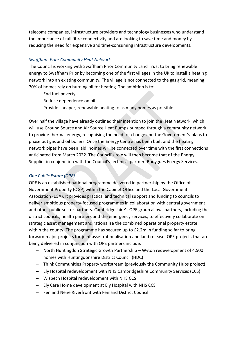telecoms companies, infrastructure providers and technology businesses who understand the importance of full fibre connectivity and are looking to save time and money by reducing the need for expensive and time-consuming infrastructure developments.

## *Swaffham Prior Community Heat Network*

The Council is working with Swaffham Prior Community Land Trust to bring renewable energy to Swaffham Prior by becoming one of the first villages in the UK to install a heating network into an existing community. The village is not connected to the gas grid, meaning 70% of homes rely on burning oil for heating. The ambition is to:

- − End fuel poverty
- − Reduce dependence on oil
- − Provide cheaper, renewable heating to as many homes as possible

Over half the village have already outlined their intention to join the Heat Network, which will use Ground Source and Air Source Heat Pumps pumped through a community network to provide thermal energy, recognising the need for change and the Government's plans to phase out gas and oil boilers. Once the Energy Centre has been built and the heating network pipes have been laid, homes will be connected over time with the first connections anticipated from March 2022. The Council's role will then become that of the Energy Supplier in conjunction with the Council's technical partner, Bouygues Energy Services.

## *One Public Estate (OPE)*

OPE is an established national programme delivered in partnership by the Office of Government Property (OGP) within the Cabinet Office and the Local Government Association (LGA). It provides practical and technical support and funding to councils to deliver ambitious property-focused programmes in collaboration with central government and other public sector partners. Cambridgeshire's OPE group allows partners, including the district councils, health partners and the emergency services, to effectively collaborate on strategic asset management and rationalise the combined operational property estate within the county. The programme has secured up to £2.2m in funding so far to bring forward major projects for joint asset rationalisation and land release. OPE projects that are being delivered in conjunction with OPE partners include:

- − North Huntingdon Strategic Growth Partnership Wyton redevelopment of 4,500 homes with Huntingdonshire District Council (HDC)
- − Think Communities Property workstream (previously the Community Hubs project)
- − Ely Hospital redevelopment with NHS Cambridgeshire Community Services (CCS)
- − Wisbech Hospital redevelopment with NHS CCS
- − Ely Care Home development at Ely Hospital with NHS CCS
- − Fenland Nene Riverfront with Fenland District Council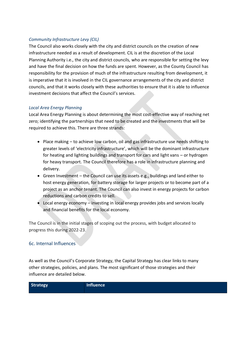# *Community Infrastructure Levy (CIL)*

The Council also works closely with the city and district councils on the creation of new infrastructure needed as a result of development. CIL is at the discretion of the Local Planning Authority i.e., the city and district councils, who are responsible for setting the levy and have the final decision on how the funds are spent. However, as the County Council has responsibility for the provision of much of the infrastructure resulting from development, it is imperative that it is involved in the CIL governance arrangements of the city and district councils, and that it works closely with these authorities to ensure that it is able to influence investment decisions that affect the Council's services.

# *Local Area Energy Planning*

Local Area Energy Planning is about determining the most cost-effective way of reaching net zero; identifying the partnerships that need to be created and the investments that will be required to achieve this. There are three strands:

- Place making to achieve low carbon, oil and gas infrastructure use needs shifting to greater levels of 'electricity infrastructure', which will be the dominant infrastructure for heating and lighting buildings and transport for cars and light vans – or hydrogen for heavy transport. The Council therefore has a role in infrastructure planning and delivery.
- Green Investment the Council can use its assets e.g., buildings and land either to host energy generation, for battery storage for larger projects or to become part of a project as an anchor tenant. The Council can also invest in energy projects for carbon reductions and carbon credits to sell.
- Local energy economy investing in local energy provides jobs and services locally and financial benefits for the local economy.

The Council is in the initial stages of scoping out the process, with budget allocated to progress this during 2022-23.

# 6c. Internal Influences

As well as the Council's Corporate Strategy, the Capital Strategy has clear links to many other strategies, policies, and plans. The most significant of those strategies and their influence are detailed below.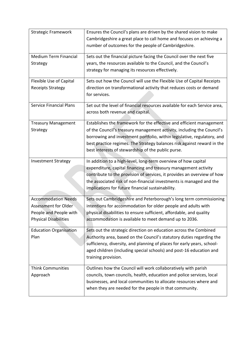| <b>Strategic Framework</b>                             | Ensures the Council's plans are driven by the shared vision to make<br>Cambridgeshire a great place to call home and focuses on achieving a       |
|--------------------------------------------------------|---------------------------------------------------------------------------------------------------------------------------------------------------|
|                                                        | number of outcomes for the people of Cambridgeshire.                                                                                              |
| <b>Medium Term Financial</b>                           | Sets out the financial picture facing the Council over the next five                                                                              |
| Strategy                                               | years, the resources available to the Council, and the Council's<br>strategy for managing its resources effectively.                              |
| Flexible Use of Capital                                | Sets out how the Council will use the Flexible Use of Capital Receipts                                                                            |
| <b>Receipts Strategy</b>                               | direction on transformational activity that reduces costs or demand<br>for services.                                                              |
| <b>Service Financial Plans</b>                         | Set out the level of financial resources available for each Service area,<br>across both revenue and capital.                                     |
| <b>Treasury Management</b>                             | Establishes the framework for the effective and efficient management                                                                              |
| Strategy                                               | of the Council's treasury management activity, including the Council's<br>borrowing and investment portfolio, within legislative, regulatory, and |
|                                                        | best practice regimes. The Strategy balances risk against reward in the                                                                           |
|                                                        | best interests of stewardship of the public purse.                                                                                                |
| <b>Investment Strategy</b>                             | In addition to a high-level, long-term overview of how capital                                                                                    |
|                                                        | expenditure, capital financing and treasury management activity<br>contribute to the provision of services, it provides an overview of how        |
|                                                        | the associated risk of non-financial investments is managed and the                                                                               |
|                                                        | implications for future financial sustainability.                                                                                                 |
| <b>Accommodation Needs</b>                             | Sets out Cambridgeshire and Peterborough's long term commissioning                                                                                |
| Assessment for Older                                   | intentions for accommodation for older people and adults with                                                                                     |
| People and People with<br><b>Physical Disabilities</b> | physical disabilities to ensure sufficient, affordable, and quality<br>accommodation is available to meet demand up to 2036.                      |
|                                                        |                                                                                                                                                   |
| <b>Education Organisation</b><br>Plan                  | Sets out the strategic direction on education across the Combined<br>Authority area, based on the Council's statutory duties regarding the        |
|                                                        | sufficiency, diversity, and planning of places for early years, school-                                                                           |
|                                                        | aged children (including special schools) and post-16 education and<br>training provision.                                                        |
| <b>Think Communities</b>                               | Outlines how the Council will work collaboratively with parish                                                                                    |
| Approach                                               | councils, town councils, health, education and police services, local                                                                             |
|                                                        | businesses, and local communities to allocate resources where and                                                                                 |
|                                                        | when they are needed for the people in that community.                                                                                            |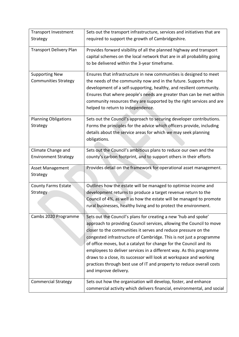| <b>Transport Investment</b><br>Strategy              | Sets out the transport infrastructure, services and initiatives that are<br>required to support the growth of Cambridgeshire.                                                                                                                                                                                                                                                                                                                                                                                                                                                                         |
|------------------------------------------------------|-------------------------------------------------------------------------------------------------------------------------------------------------------------------------------------------------------------------------------------------------------------------------------------------------------------------------------------------------------------------------------------------------------------------------------------------------------------------------------------------------------------------------------------------------------------------------------------------------------|
| <b>Transport Delivery Plan</b>                       | Provides forward visibility of all the planned highway and transport<br>capital schemes on the local network that are in all probability going<br>to be delivered within the 3-year timeframe.                                                                                                                                                                                                                                                                                                                                                                                                        |
| <b>Supporting New</b><br><b>Communities Strategy</b> | Ensures that infrastructure in new communities is designed to meet<br>the needs of the community now and in the future. Supports the<br>development of a self-supporting, healthy, and resilient community.<br>Ensures that where people's needs are greater than can be met within<br>community resources they are supported by the right services and are<br>helped to return to independence.                                                                                                                                                                                                      |
| <b>Planning Obligations</b><br>Strategy              | Sets out the Council's approach to securing developer contributions.<br>Forms the principles for the advice which officers provide, including<br>details about the service areas for which we may seek planning<br>obligations.                                                                                                                                                                                                                                                                                                                                                                       |
| Climate Change and<br><b>Environment Strategy</b>    | Sets out the Council's ambitious plans to reduce our own and the<br>county's carbon footprint, and to support others in their efforts                                                                                                                                                                                                                                                                                                                                                                                                                                                                 |
| Asset Management<br>Strategy                         | Provides detail on the framework for operational asset management.                                                                                                                                                                                                                                                                                                                                                                                                                                                                                                                                    |
| <b>County Farms Estate</b><br>Strategy               | Outlines how the estate will be managed to optimise income and<br>development returns to produce a target revenue return to the<br>Council of 4%, as well as how the estate will be managed to promote<br>rural businesses, healthy living and to protect the environment.                                                                                                                                                                                                                                                                                                                            |
| Cambs 2020 Programme                                 | Sets out the Council's plans for creating a new 'hub and spoke'<br>approach to providing Council services, allowing the Council to move<br>closer to the communities it serves and reduce pressure on the<br>congested infrastructure of Cambridge. This is not just a programme<br>of office moves, but a catalyst for change for the Council and its<br>employees to deliver services in a different way. As this programme<br>draws to a close, its successor will look at workspace and working<br>practices through best use of IT and property to reduce overall costs<br>and improve delivery. |
| <b>Commercial Strategy</b>                           | Sets out how the organisation will develop, foster, and enhance<br>commercial activity which delivers financial, environmental, and social                                                                                                                                                                                                                                                                                                                                                                                                                                                            |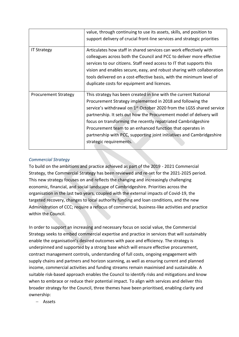|                             | value, through continuing to use its assets, skills, and position to<br>support delivery of crucial front-line services and strategic priorities                                                                                                                                                                                                                                                                                                                                                                             |
|-----------------------------|------------------------------------------------------------------------------------------------------------------------------------------------------------------------------------------------------------------------------------------------------------------------------------------------------------------------------------------------------------------------------------------------------------------------------------------------------------------------------------------------------------------------------|
| <b>IT Strategy</b>          | Articulates how staff in shared services can work effectively with<br>colleagues across both the Council and PCC to deliver more effective<br>services to our citizens. Staff need access to IT that supports this<br>vision and enables secure, easy, and robust sharing with collaboration<br>tools delivered on a cost-effective basis, with the minimum level of<br>duplicate costs for equipment and licences.                                                                                                          |
| <b>Procurement Strategy</b> | This strategy has been created in line with the current National<br>Procurement Strategy implemented in 2018 and following the<br>service's withdrawal on 1 <sup>st</sup> October 2020 from the LGSS shared service<br>partnership. It sets out how the Procurement model of delivery will<br>focus on transforming the recently repatriated Cambridgeshire<br>Procurement team to an enhanced function that operates in<br>partnership with PCC, supporting joint initiatives and Cambridgeshire<br>strategic requirements. |

# *Commercial Strategy*

To build on the ambitions and practice achieved as part of the 2019 - 2021 Commercial Strategy, the Commercial Strategy has been reviewed and re-set for the 2021-2025 period. This new strategy focuses on and reflects the changing and increasingly challenging economic, financial, and social landscape of Cambridgeshire. Priorities across the organisation in the last two years, coupled with the external impacts of Covid-19, the targeted recovery, changes to local authority funding and loan conditions, and the new Administration of CCC; require a refocus of commercial, business-like activities and practice within the Council.

In order to support an increasing and necessary focus on social value, the Commercial Strategy seeks to embed commercial expertise and practice in services that will sustainably enable the organisation's desired outcomes with pace and efficiency. The strategy is underpinned and supported by a strong base which will ensure effective procurement, contract management controls, understanding of full costs, ongoing engagement with supply chains and partners and horizon scanning, as well as ensuring current and planned income, commercial activities and funding streams remain maximised and sustainable. A suitable risk-based approach enables the Council to identify risks and mitigations and know when to embrace or reduce their potential impact. To align with services and deliver this broader strategy for the Council, three themes have been prioritised, enabling clarity and ownership:

− Assets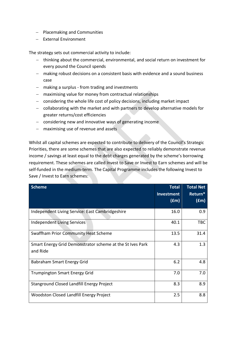- − Placemaking and Communities
- − External Environment

The strategy sets out commercial activity to include:

- − thinking about the commercial, environmental, and social return on investment for every pound the Council spends
- − making robust decisions on a consistent basis with evidence and a sound business case
- − making a surplus from trading and investments
- − maximising value for money from contractual relationships
- − considering the whole life cost of policy decisions, including market impact
- − collaborating with the market and with partners to develop alternative models for greater returns/cost efficiencies
- − considering new and innovative ways of generating income
- − maximising use of revenue and assets

Whilst all capital schemes are expected to contribute to delivery of the Council's Strategic Priorities, there are some schemes that are also expected to reliably demonstrate revenue income / savings at least equal to the debt charges generated by the scheme's borrowing requirement. These schemes are called Invest to Save or Invest to Earn schemes and will be self-funded in the medium-term. The Capital Programme includes the following Invest to Save / Invest to Earn schemes:

| <b>Scheme</b>                                             | <b>Total</b>      | <b>Total Net</b> |
|-----------------------------------------------------------|-------------------|------------------|
|                                                           | <b>Investment</b> | Return*          |
|                                                           | (fm)              | (fm)             |
| Independent Living Service: East Cambridgeshire           | 16.0              | 0.9              |
| <b>Independent Living Services</b>                        | 40.1              | <b>TBC</b>       |
| <b>Swaffham Prior Community Heat Scheme</b>               | 13.5              | 31.4             |
| Smart Energy Grid Demonstrator scheme at the St Ives Park | 4.3               | 1.3              |
| and Ride                                                  |                   |                  |
| Babraham Smart Energy Grid                                | 6.2               | 4.8              |
| <b>Trumpington Smart Energy Grid</b>                      | 7.0               | 7.0              |
| Stanground Closed Landfill Energy Project                 | 8.3               | 8.9              |
| Woodston Closed Landfill Energy Project                   | 2.5               | 8.8              |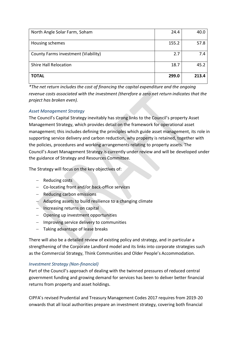| North Angle Solar Farm, Soham       | 24.4  | 40.0  |
|-------------------------------------|-------|-------|
| Housing schemes                     | 155.2 | 57.8  |
| County Farms investment (Viability) | 2.7   | 7.4   |
| <b>Shire Hall Relocation</b>        | 18.7  | 45.2  |
| <b>TOTAL</b>                        | 299.0 | 213.4 |

*\*The net return includes the cost of financing the capital expenditure and the ongoing revenue costs associated with the investment (therefore a zero net return indicates that the project has broken even).*

# *Asset Management Strategy*

The Council's Capital Strategy inevitably has strong links to the Council's property Asset Management Strategy, which provides detail on the framework for operational asset management; this includes defining the principles which guide asset management, its role in supporting service delivery and carbon reduction, why property is retained, together with the policies, procedures and working arrangements relating to property assets. The Council's Asset Management Strategy is currently under review and will be developed under the guidance of Strategy and Resources Committee.

The Strategy will focus on the key objectives of:

- − Reducing costs
- − Co-locating front and/or back-office services
- − Reducing carbon emissions
- − Adapting assets to build resilience to a changing climate
- − Increasing returns on capital
- − Opening up investment opportunities
- − Improving service delivery to communities
- − Taking advantage of lease breaks

There will also be a detailed review of existing policy and strategy, and in particular a strengthening of the Corporate Landlord model and its links into corporate strategies such as the Commercial Strategy, Think Communities and Older People's Accommodation.

## *Investment Strategy (Non-financial)*

Part of the Council's approach of dealing with the twinned pressures of reduced central government funding and growing demand for services has been to deliver better financial returns from property and asset holdings.

CIPFA's revised Prudential and Treasury Management Codes 2017 requires from 2019-20 onwards that all local authorities prepare an investment strategy, covering both financial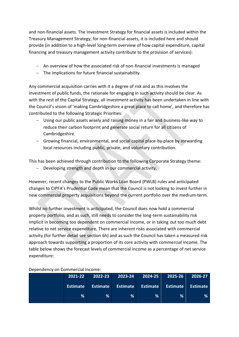and non-financial assets. The Investment Strategy for financial assets is included within the Treasury Management Strategy; for non-financial assets, it is included here and should provide (in addition to a high-level long-term overview of how capital expenditure, capital financing and treasury management activity contribute to the provision of services):

- − An overview of how the associated risk of non-financial investments is managed
- − The implications for future financial sustainability.

Any commercial acquisition carries with it a degree of risk and as this involves the investment of public funds, the rationale for engaging in such activity should be clear. As with the rest of the Capital Strategy, all investment activity has been undertaken in line with the Council's vision of 'making Cambridgeshire a great place to call home', and therefore has contributed to the following Strategic Priorities:

- − Using our public assets wisely and raising money in a fair and business-like way to reduce their carbon footprint and generate social return for all citizens of Cambridgeshire.
- − Growing financial, environmental, and social capital place-by-place by stewarding local resources including public, private, and voluntary contribution.

This has been achieved through contribution to the following Corporate Strategy theme:

− Developing strength and depth in our commercial activity.

However, recent changes to the Public Works Loan Board (PWLB) rules and anticipated changes to CIPFA's Prudential Code mean that the Council is not looking to invest further in new commercial property acquisitions beyond the current portfolio over the medium-term.

Whilst no further investment is anticipated, the Council does now hold a commercial property portfolio, and as such, still needs to consider the long-term sustainability risk implicit in becoming too dependent on commercial income, or in taking out too much debt relative to net service expenditure. There are inherent risks associated with commercial activity (for further detail see section 6h) and as such the Council has taken a measured risk approach towards supporting a proportion of its core activity with commercial income. The table below shows the forecast levels of commercial income as a percentage of net service expenditure:

| 2021-22         | $2022 - 23$     | $2023 - 24$ | $2024 - 25$ | 2025-26                             | 2026-27 |
|-----------------|-----------------|-------------|-------------|-------------------------------------|---------|
| <b>Estimate</b> | <b>Estimate</b> |             |             | Estimate Estimate Estimate Estimate |         |
| %               | %               | %           | %           | $\frac{9}{6}$                       | ℅       |

Dependency on Commercial Income: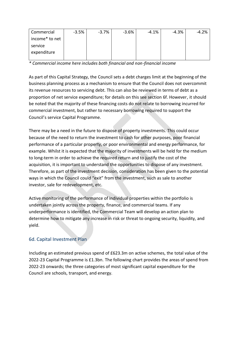| Commercial     | $-3.5%$ | $-3.7%$ | $-3.6%$ | $-4.1%$ | $-4.3%$ | $-4.2%$ |
|----------------|---------|---------|---------|---------|---------|---------|
| income* to net |         |         |         |         |         |         |
| service        |         |         |         |         |         |         |
| expenditure    |         |         |         |         |         |         |
|                |         |         |         |         |         |         |

*\* Commercial income here includes both financial and non-financial income*

As part of this Capital Strategy, the Council sets a debt charges limit at the beginning of the business planning process as a mechanism to ensure that the Council does not overcommit its revenue resources to servicing debt. This can also be reviewed in terms of debt as a proportion of net service expenditure; for details on this see section 6f. However, it should be noted that the majority of these financing costs do not relate to borrowing incurred for commercial investment, but rather to necessary borrowing required to support the Council's service Capital Programme.

There may be a need in the future to dispose of property investments. This could occur because of the need to return the investment to cash for other purposes, poor financial performance of a particular property, or poor environmental and energy performance, for example. Whilst it is expected that the majority of investments will be held for the medium to long-term in order to achieve the required return and to justify the cost of the acquisition, it is important to understand the opportunities to dispose of any investment. Therefore, as part of the investment decision, consideration has been given to the potential ways in which the Council could "exit" from the investment, such as sale to another investor, sale for redevelopment, etc.

Active monitoring of the performance of individual properties within the portfolio is undertaken jointly across the property, finance, and commercial teams. If any underperformance is identified, the Commercial Team will develop an action plan to determine how to mitigate any increase in risk or threat to ongoing security, liquidity, and yield.

# 6d. Capital Investment Plan

Including an estimated previous spend of £623.3m on active schemes, the total value of the 2022-23 Capital Programme is £1.3bn. The following chart provides the areas of spend from 2022-23 onwards; the three categories of most significant capital expenditure for the Council are schools, transport, and energy.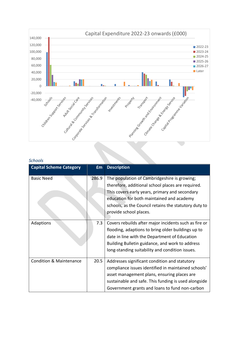

## *Schools*

| <b>Capital Scheme Category</b>     | Em    | <b>Description</b>                                    |
|------------------------------------|-------|-------------------------------------------------------|
| <b>Basic Need</b>                  | 286.9 | The population of Cambridgeshire is growing;          |
|                                    |       | therefore, additional school places are required.     |
|                                    |       | This covers early years, primary and secondary        |
|                                    |       | education for both maintained and academy             |
|                                    |       | schools, as the Council retains the statutory duty to |
|                                    |       | provide school places.                                |
|                                    |       |                                                       |
| Adaptions                          | 7.3   | Covers rebuilds after major incidents such as fire or |
|                                    |       | flooding, adaptions to bring older buildings up to    |
|                                    |       | date in line with the Department of Education         |
|                                    |       | Building Bulletin guidance, and work to address       |
|                                    |       | long-standing suitability and condition issues.       |
|                                    |       |                                                       |
| <b>Condition &amp; Maintenance</b> | 20.5  | Addresses significant condition and statutory         |
|                                    |       | compliance issues identified in maintained schools'   |
|                                    |       | asset management plans, ensuring places are           |
|                                    |       | sustainable and safe. This funding is used alongside  |
|                                    |       | Government grants and loans to fund non-carbon        |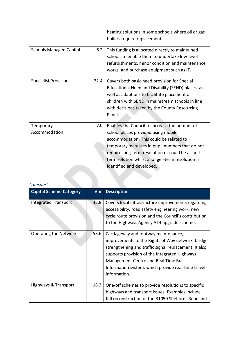|                                |      | heating solutions in some schools where oil or gas<br>boilers require replacement.                                                                                                                                                                                                                                        |
|--------------------------------|------|---------------------------------------------------------------------------------------------------------------------------------------------------------------------------------------------------------------------------------------------------------------------------------------------------------------------------|
| <b>Schools Managed Capital</b> | 6.2  | This funding is allocated directly to maintained<br>schools to enable them to undertake low-level<br>refurbishments, minor condition and maintenance<br>works, and purchase equipment such as IT.                                                                                                                         |
| <b>Specialist Provision</b>    | 32.4 | Covers both basic need provision for Special<br>Educational Need and Disability (SEND) places, as<br>well as adaptions to facilitate placement of<br>children with SEND in mainstream schools in line<br>with decisions taken by the County Resourcing<br>Panel.                                                          |
| Temporary<br>Accommodation     | 7.0  | Enables the Council to increase the number of<br>school places provided using mobile<br>accommodation. This could be related to<br>temporary increases in pupil numbers that do not<br>require long-term resolution or could be a short-<br>term solution whilst a longer-term resolution is<br>identified and developed. |

# *Transport*

| <b>Capital Scheme Category</b> | £m   | <b>Description</b>                                                                                                                                                                                                                                                                                               |
|--------------------------------|------|------------------------------------------------------------------------------------------------------------------------------------------------------------------------------------------------------------------------------------------------------------------------------------------------------------------|
| <b>Integrated Transport</b>    | 43.8 | Covers local infrastructure improvements regarding<br>accessibility, road safety engineering work, new<br>cycle route provision and the Council's contribution<br>to the Highways Agency A14 upgrade scheme.                                                                                                     |
| <b>Operating the Network</b>   | 53.6 | Carriageway and footway maintenance,<br>improvements to the Rights of Way network, bridge<br>strengthening and traffic signal replacement. It also<br>supports provision of the Integrated Highways<br>Management Centre and Real Time Bus<br>Information system, which provide real-time travel<br>information. |
| Highways & Transport           | 18.2 | One-off schemes to provide resolutions to specific<br>highways and transport issues. Examples include<br>full reconstruction of the B1050 Shelfords Road and                                                                                                                                                     |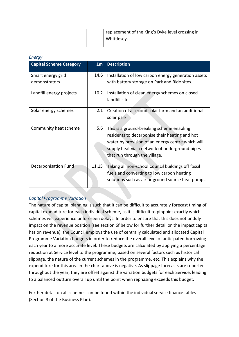|  | replacement of the King's Dyke level crossing in |
|--|--------------------------------------------------|
|  | Whittlesey.                                      |
|  |                                                  |

### *Energy*

| <b>Capital Scheme Category</b> | <b>fm</b> | <b>Description</b>                                                                                  |
|--------------------------------|-----------|-----------------------------------------------------------------------------------------------------|
| Smart energy grid              | 14.6      | Installation of low carbon energy generation assets                                                 |
| demonstrators                  |           | with battery storage on Park and Ride sites.                                                        |
| Landfill energy projects       | 10.2      | Installation of clean energy schemes on closed                                                      |
|                                |           | landfill sites.                                                                                     |
| Solar energy schemes           | 2.1       | Creation of a second solar farm and an additional                                                   |
|                                |           | solar park.                                                                                         |
| Community heat scheme          | 5.6       | This is a ground-breaking scheme enabling                                                           |
|                                |           | residents to decarbonise their heating and hot                                                      |
|                                |           | water by provision of an energy centre which will<br>supply heat via a network of underground pipes |
|                                |           | that run through the village.                                                                       |
|                                |           |                                                                                                     |
| <b>Decarbonisation Fund</b>    | 11.15     | Taking all non-school Council buildings off fossil                                                  |
|                                |           | fuels and converting to low carbon heating                                                          |
|                                |           | solutions such as air or ground source heat pumps.                                                  |

# *Capital Programme Variation*

The nature of capital planning is such that it can be difficult to accurately forecast timing of capital expenditure for each individual scheme, as it is difficult to pinpoint exactly which schemes will experience unforeseen delays. In order to ensure that this does not unduly impact on the revenue position (see section 6f below for further detail on the impact capital has on revenue), the Council employs the use of centrally calculated and allocated Capital Programme Variation budgets in order to reduce the overall level of anticipated borrowing each year to a more accurate level. These budgets are calculated by applying a percentage reduction at Service level to the programme, based on several factors such as historical slippage, the nature of the current schemes in the programme, etc. This explains why the expenditure for this area in the chart above is negative. As slippage forecasts are reported throughout the year, they are offset against the variation budgets for each Service, leading to a balanced outturn overall up until the point when rephasing exceeds this budget.

Further detail on all schemes can be found within the individual service finance tables (Section 3 of the Business Plan).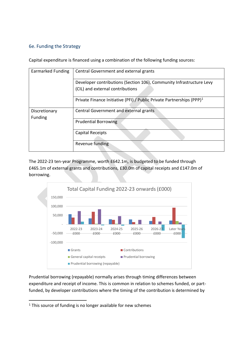# 6e. Funding the Strategy

Capital expenditure is financed using a combination of the following funding sources:

| <b>Earmarked Funding</b> | Central Government and external grants                                                                   |
|--------------------------|----------------------------------------------------------------------------------------------------------|
|                          | Developer contributions (Section 106), Community Infrastructure Levy<br>(CIL) and external contributions |
|                          | Private Finance Initiative (PFI) / Public Private Partnerships (PPP) <sup>1</sup>                        |
| Discretionary<br>Funding | Central Government and external grants                                                                   |
|                          | <b>Prudential Borrowing</b>                                                                              |
|                          | <b>Capital Receipts</b>                                                                                  |
|                          | Revenue funding                                                                                          |

The 2022-23 ten-year Programme, worth £642.1m, is budgeted to be funded through £465.1m of external grants and contributions, £30.0m of capital receipts and £147.0m of borrowing.



Prudential borrowing (repayable) normally arises through timing differences between expenditure and receipt of income. This is common in relation to schemes funded, or partfunded, by developer contributions where the timing of the contribution is determined by

<sup>&</sup>lt;sup>1</sup> This source of funding is no longer available for new schemes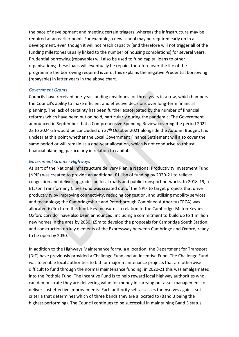the pace of development and meeting certain triggers, whereas the infrastructure may be required at an earlier point. For example, a new school may be required early on in a development, even though it will not reach capacity (and therefore will not trigger all of the funding milestones usually linked to the number of housing completions) for several years. Prudential borrowing (repayable) will also be used to fund capital loans to other organisations; these loans will eventually be repaid, therefore over the life of the programme the borrowing required is zero; this explains the negative Prudential borrowing (repayable) in latter years in the above chart.

#### *Government Grants*

Councils have received one-year funding envelopes for three years in a row, which hampers the Council's ability to make efficient and effective decisions over long-term financial planning. The lack of certainty has been further exacerbated by the number of financial reforms which have been put on hold, particularly during the pandemic. The Government announced in September that a Comprehensive Spending Review covering the period 2022- 23 to 2024-25 would be concluded on 27<sup>th</sup> October 2021 alongside the Autumn Budget. It is unclear at this point whether the Local Government Finance Settlement will also cover the same period or will remain as a one-year allocation, which is not conducive to robust financial planning, particularly in relation to capital.

## *Government Grants - Highways*

As part of the National Infrastructure delivery Plan, a National Productivity Investment Fund (NPIF) was created to provide an additional £1.1bn of funding by 2020-21 to relieve congestion and deliver upgrades on local roads and public transport networks. In 2018-19, a £1.7bn Transforming Cities Fund was created out of the NPIF to target projects that drive productivity by improving connectivity, reducing congestion, and utilising mobility services and technology; the Cambridgeshire and Peterborough Combined Authority (CPCA) was allocated £74m from this fund. Key measures in relation to the Cambridge-Milton Keynes-Oxford corridor have also been announced, including a commitment to build up to 1 million new homes in the area by 2050, £5m to develop the proposals for Cambridge South Station, and construction on key elements of the Expressway between Cambridge and Oxford, ready to be open by 2030.

In addition to the Highways Maintenance formula allocation, the Department for Transport (DfT) have previously provided a Challenge Fund and an Incentive Fund. The Challenge Fund was to enable local authorities to bid for major maintenance projects that are otherwise difficult to fund through the normal maintenance funding; in 2020-21 this was amalgamated into the Pothole Fund. The Incentive Fund is to help reward local highway authorities who can demonstrate they are delivering value for money in carrying out asset management to deliver cost effective improvements. Each authority self-assesses themselves against set criteria that determines which of three bands they are allocated to (Band 3 being the highest performing). The Council continues to be successful in maintaining Band 3 status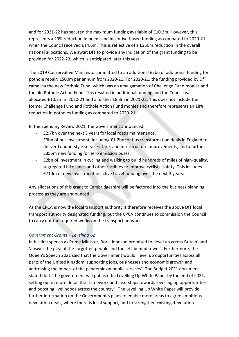and for 2021-22 has secured the maximum funding available of £10.2m. However, this represents a 29% reduction in needs and incentive-based funding as compared to 2020-21 when the Council received £14.6m. This is reflective of a £250m reduction in the overall national allocations. We await DfT to provide any indication of the grant funding to be provided for 2022-23, which is anticipated later this year.

The 2019 Conservative Manifesto committed to an additional £2bn of additional funding for pothole repair; £500m per annum from 2020-21. For 2020-21, the funding provided by DfT came via the new Pothole Fund, which was an amalgamation of Challenge Fund monies and the old Pothole Action Fund. This resulted in additional funding and the Council was allocated £10.2m in 2020-21 and a further £8.3m in 2021-22. This does not include the former Challenge Fund and Pothole Action Fund monies and therefore represents an 18% reduction in potholes funding as compared to 2020-21.

In the Spending Review 2021, the Government announced:

- £2.7bn over the next 3 years for local roads maintenance.
- £3bn of bus investment, including £1.2bn for bus transformation deals in England to deliver London-style services, fare, and infrastructure improvements, and a further £355m new funding for zero emission buses.
- £2bn of investment in cycling and walking to build hundreds of miles of high-quality, segregated bike lanes and other facilities to improve cyclists' safety. This includes £710m of new investment in active travel funding over the next 3 years.

Any allocations of this grant to Cambridgeshire will be factored into the business planning process as they are announced.

As the CPCA is now the local transport authority it therefore receives the above DfT local transport authority designated funding, but the CPCA continues to commission the Council to carry out the required works on the transport network.

# *Government Grants – Levelling Up*

In his first speech as Prime Minister, Boris Johnson promised to 'level up across Britain' and 'answer the plea of the forgotten people and the left-behind towns'. Furthermore, the Queen's Speech 2021 said that the Government would "level up opportunities across all parts of the United Kingdom, supporting jobs, businesses and economic growth and addressing the impact of the pandemic on public services". The Budget 2021 document stated that "the government will publish the Levelling Up White Paper by the end of 2021, setting out in more detail the framework and next steps towards levelling up opportunities and boosting livelihoods across the country". The Levelling Up White Paper will provide further information on the Government's plans to enable more areas to agree ambitious devolution deals, where there is local support, and to strengthen existing devolution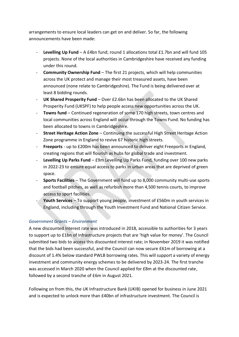arrangements to ensure local leaders can get on and deliver. So far, the following announcements have been made:

- **Levelling Up Fund**  A £4bn fund; round 1 allocations total £1.7bn and will fund 105 projects. None of the local authorities in Cambridgeshire have received any funding under this round.
- **Community Ownership Fund**  The first 21 projects, which will help communities across the UK protect and manage their most treasured assets, have been announced (none relate to Cambridgeshire). The Fund is being delivered over at least 8 bidding rounds.
- UK Shared Prosperity Fund Over £2.6bn has been allocated to the UK Shared Prosperity Fund (UKSPF) to help people access new opportunities across the UK.
- **Towns fund**  Continued regeneration of some 170 high streets, town centres and local communities across England will occur through the Towns Fund. No funding has been allocated to towns in Cambridgeshire.
- **Street Heritage Action Zone**  Continuing the successful High Street Heritage Action Zone programme in England to revive 67 historic high streets.
- **Freeports**  up to £200m has been announced to deliver eight Freeports in England, creating regions that will flourish as hubs for global trade and investment.
- **Levelling Up Parks Fund**  £9m Levelling Up Parks Fund, funding over 100 new parks in 2022-23 to ensure equal access to parks in urban areas that are deprived of green space.
- **Sports Facilities**  The Government will fund up to 8,000 community multi-use sports and football pitches, as well as refurbish more than 4,500 tennis courts, to improve access to sport facilities.
- Youth Services To support young people, investment of £560m in youth services in England, including through the Youth Investment Fund and National Citizen Service.

# *Government Grants – Environment*

A new discounted interest rate was introduced in 2018, accessible to authorities for 3 years to support up to £1bn of infrastructure projects that are 'high value for money'. The Council submitted two bids to access this discounted interest rate; in November 2019 it was notified that the bids had been successful, and the Council can now secure £61m of borrowing at a discount of 1.4% below standard PWLB borrowing rates. This will support a variety of energy investment and community energy schemes to be delivered by 2023-24. The first tranche was accessed in March 2020 when the Council applied for £8m at the discounted rate, followed by a second tranche of £6m in August 2021.

Following on from this, the UK Infrastructure Bank (UKIB) opened for business in June 2021 and is expected to unlock more than £40bn of infrastructure investment. The Council is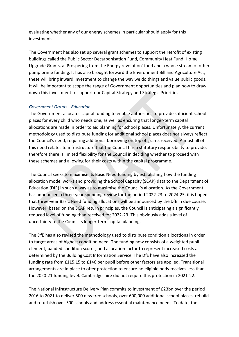evaluating whether any of our energy schemes in particular should apply for this investment.

The Government has also set up several grant schemes to support the retrofit of existing buildings called the Public Sector Decarbonisation Fund, Community Heat Fund, Home Upgrade Grants, a 'Prospering from the Energy revolution' fund and a whole stream of other pump prime funding. It has also brought forward the Environment Bill and Agriculture Act; these will bring inward investment to change the way we do things and value public goods. It will be important to scope the range of Government opportunities and plan how to draw down this investment to support our Capital Strategy and Strategic Priorities.

## *Government Grants - Education*

The Government allocates capital funding to enable authorities to provide sufficient school places for every child who needs one, as well as ensuring that longer-term capital allocations are made in order to aid planning for school places. Unfortunately, the current methodology used to distribute funding for additional school places does not always reflect the Council's need, requiring additional borrowing on top of grants received. Almost all of this need relates to infrastructure that the Council has a statutory responsibility to provide, therefore there is limited flexibility for the Council in deciding whether to proceed with these schemes and allowing for their costs within the capital programme.

The Council seeks to maximise its Basic Need funding by establishing how the funding allocation model works and providing the School Capacity (SCAP) data to the Department of Education (DfE) in such a way as to maximise the Council's allocation. As the Government has announced a three-year spending review for the period 2022-23 to 2024-25, it is hoped that three-year Basic Need funding allocations will be announced by the DfE in due course. However, based on the SCAP return principles, the Council is anticipating a significantly reduced level of funding than received for 2022-23. This obviously adds a level of uncertainty to the Council's longer-term capital planning.

The DfE has also revised the methodology used to distribute condition allocations in order to target areas of highest condition need. The funding now consists of a weighted pupil element, banded condition scores, and a location factor to represent increased costs as determined by the Building Cost Information Service. The DfE have also increased the funding rate from £115.15 to £146 per pupil before other factors are applied. Transitional arrangements are in place to offer protection to ensure no eligible body receives less than the 2020-21 funding level. Cambridgeshire did not require this protection in 2021-22.

The National Infrastructure Delivery Plan commits to investment of £23bn over the period 2016 to 2021 to deliver 500 new free schools, over 600,000 additional school places, rebuild and refurbish over 500 schools and address essential maintenance needs. To date, the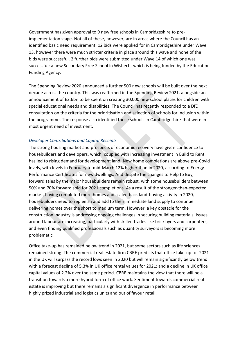Government has given approval to 9 new free schools in Cambridgeshire to preimplementation stage. Not all of these, however, are in areas where the Council has an identified basic need requirement. 12 bids were applied for in Cambridgeshire under Wave 13, however there were much stricter criteria in place around this wave and none of the bids were successful. 2 further bids were submitted under Wave 14 of which one was successful: a new Secondary Free School in Wisbech, which is being funded by the Education Funding Agency.

The Spending Review 2020 announced a further 500 new schools will be built over the next decade across the country. This was reaffirmed in the Spending Review 2021, alongside an announcement of £2.6bn to be spent on creating 30,000 new school places for children with special educational needs and disabilities. The Council has recently responded to a DfE consultation on the criteria for the prioritisation and selection of schools for inclusion within the programme. The response also identified those schools in Cambridgeshire that were in most urgent need of investment.

## *Developer Contributions and Capital Receipts*

The strong housing market and prospects of economic recovery have given confidence to housebuilders and developers, which, coupled with increasing investment in Build to Rent, has led to rising demand for development land. New home completions are above pre-Covid levels, with levels in February to mid-March 12% higher than in 2020, according to Energy Performance Certificates for new dwellings. And despite the changes to Help to Buy, forward sales by the major housebuilders remain robust, with some housebuilders between 50% and 70% forward sold for 2021 completions. As a result of the stronger-than-expected market, having completed more homes and scaled back land-buying activity in 2020, housebuilders need to replenish and add to their immediate land supply to continue delivering homes over the short to medium term. However, a key obstacle for the construction industry is addressing ongoing challenges in securing building materials. Issues around labour are increasing, particularly with skilled trades like bricklayers and carpenters, and even finding qualified professionals such as quantity surveyors is becoming more problematic.

Office take-up has remained below trend in 2021, but some sectors such as life sciences remained strong. The commercial real estate firm CBRE predicts that office take-up for 2021 in the UK will surpass the record lows seen in 2020 but will remain significantly below trend with a forecast decline of 5.3% in UK office rental values for 2021; and a decline in UK office capital values of 2.2% over the same period. CBRE maintains the view that there will be a transition towards a more hybrid form of office work. Sentiment towards commercial real estate is improving but there remains a significant divergence in performance between highly prized industrial and logistics units and out of favour retail.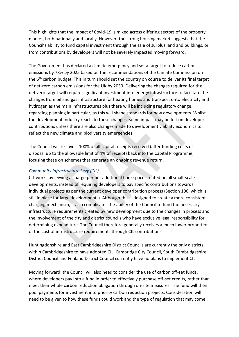This highlights that the impact of Covid-19 is mixed across differing sectors of the property market, both nationally and locally. However, the strong housing market suggests that the Council's ability to fund capital investment through the sale of surplus land and buildings, or from contributions by developers will not be severely impacted moving forward.

The Government has declared a climate emergency and set a target to reduce carbon emissions by 78% by 2025 based on the recommendations of the Climate Commission on the  $6<sup>th</sup>$  carbon budget. This in turn should set the country on course to deliver its final target of net-zero carbon emissions for the UK by 2050. Delivering the changes required for the net-zero target will require significant investment into energy infrastructure to facilitate the changes from oil and gas infrastructure for heating homes and transport onto electricity and hydrogen as the main infrastructures plus there will be including regulatory change, regarding planning in particular, as this will shape standards for new developments. Whilst the development industry reacts to these changes, some impact may be felt on developer contributions unless there are also changes made to development viability economics to reflect the new climate and biodiversity emergencies.

The Council will re-invest 100% of all capital receipts received (after funding costs of disposal up to the allowable limit of 4% of receipt) back into the Capital Programme, focusing these on schemes that generate an ongoing revenue return.

## *Community Infrastructure Levy (CIL)*

CIL works by levying a charge per net additional floor space created on all small-scale developments, instead of requiring developers to pay specific contributions towards individual projects as per the current developer contribution process (Section 106, which is still in place for large developments). Although this is designed to create a more consistent charging mechanism, it also complicates the ability of the Council to fund the necessary infrastructure requirements created by new development due to the changes in process and the involvement of the city and district councils who have exclusive legal responsibility for determining expenditure. The Council therefore generally receives a much lower proportion of the cost of infrastructure requirements through CIL contributions.

Huntingdonshire and East Cambridgeshire District Councils are currently the only districts within Cambridgeshire to have adopted CIL. Cambridge City Council, South Cambridgeshire District Council and Fenland District Council currently have no plans to implement CIL.

Moving forward, the Council will also need to consider the use of carbon off-set funds, where developers pay into a fund in order to effectively purchase off-set credits, rather than meet their whole carbon reduction obligation through on-site measures. The fund will then pool payments for investment into priority carbon reduction projects. Consideration will need to be given to how these funds could work and the type of regulation that may come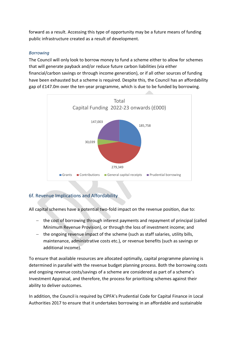forward as a result. Accessing this type of opportunity may be a future means of funding public infrastructure created as a result of development.

## *Borrowing*

The Council will only look to borrow money to fund a scheme either to allow for schemes that will generate payback and/or reduce future carbon liabilities (via either financial/carbon savings or through income generation), or if all other sources of funding have been exhausted but a scheme is required. Despite this, the Council has an affordability gap of £147.0m over the ten-year programme, which is due to be funded by borrowing.



# 6f. Revenue Implications and Affordability

All capital schemes have a potential two-fold impact on the revenue position, due to:

- − the cost of borrowing through interest payments and repayment of principal (called Minimum Revenue Provision), or through the loss of investment income; and
- − the ongoing revenue impact of the scheme (such as staff salaries, utility bills, maintenance, administrative costs etc.), or revenue benefits (such as savings or additional income).

To ensure that available resources are allocated optimally, capital programme planning is determined in parallel with the revenue budget planning process. Both the borrowing costs and ongoing revenue costs/savings of a scheme are considered as part of a scheme's Investment Appraisal, and therefore, the process for prioritising schemes against their ability to deliver outcomes.

In addition, the Council is required by CIPFA's Prudential Code for Capital Finance in Local Authorities 2017 to ensure that it undertakes borrowing in an affordable and sustainable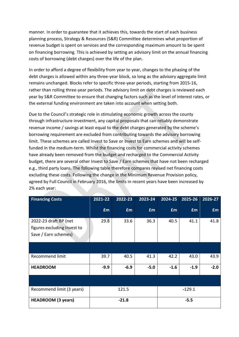manner. In order to guarantee that it achieves this, towards the start of each business planning process, Strategy & Resources (S&R) Committee determines what proportion of revenue budget is spent on services and the corresponding maximum amount to be spent on financing borrowing. This is achieved by setting an advisory limit on the annual financing costs of borrowing (debt charges) over the life of the plan.

In order to afford a degree of flexibility from year to year, changes to the phasing of the debt charges is allowed within any three-year block, so long as the advisory aggregate limit remains unchanged. Blocks refer to specific three-year periods, starting from 2015-16, rather than rolling three-year periods. The advisory limit on debt charges is reviewed each year by S&R Committee to ensure that changing factors such as the level of interest rates, or the external funding environment are taken into account when setting both.

Due to the Council's strategic role in stimulating economic growth across the county through infrastructure investment, any capital proposals that can reliably demonstrate revenue income / savings at least equal to the debt charges generated by the scheme's borrowing requirement are excluded from contributing towards the advisory borrowing limit. These schemes are called Invest to Save or Invest to Earn schemes and will be selffunded in the medium-term. Whilst the financing costs for commercial activity schemes have already been removed from the budget and recharged to the Commercial Activity budget, there are several other Invest to Save / Earn schemes that have not been recharged e.g., third party loans. The following table therefore compares revised net financing costs excluding these costs. Following the change in the Minimum Revenue Provision policy, agreed by Full Council in February 2016, the limits in recent years have been increased by 2% each year:

| <b>Financing Costs</b>                                                       | 2021-22   | 2022-23 | 2023-24 | 2024-25   | 2025-26  | 2026-27   |
|------------------------------------------------------------------------------|-----------|---------|---------|-----------|----------|-----------|
|                                                                              | <b>£m</b> | £m      | £m      | <b>£m</b> | £m       | <b>£m</b> |
| 2022-23 draft BP (net<br>figures excluding Invest to<br>Save / Earn schemes) | 29.8      | 33.6    | 36.3    | 40.5      | 41.1     | 41.8      |
|                                                                              |           |         |         |           |          |           |
| <b>Recommend limit</b>                                                       | 39.7      | 40.5    | 41.3    | 42.2      | 43.0     | 43.9      |
| <b>HEADROOM</b>                                                              | $-9.9$    | $-6.9$  | $-5.0$  | $-1.6$    | $-1.9$   | $-2.0$    |
|                                                                              |           |         |         |           |          |           |
| Recommend limit (3 years)                                                    |           | 121.5   |         |           | $-129.1$ |           |
| <b>HEADROOM (3 years)</b>                                                    |           | $-21.8$ |         |           | $-5.5$   |           |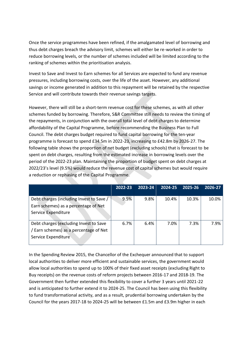Once the service programmes have been refined, if the amalgamated level of borrowing and thus debt charges breach the advisory limit, schemes will either be re-worked in order to reduce borrowing levels, or the number of schemes included will be limited according to the ranking of schemes within the prioritisation analysis.

Invest to Save and Invest to Earn schemes for all Services are expected to fund any revenue pressures, including borrowing costs, over the life of the asset. However, any additional savings or income generated in addition to this repayment will be retained by the respective Service and will contribute towards their revenue savings targets.

However, there will still be a short-term revenue cost for these schemes, as with all other schemes funded by borrowing. Therefore, S&R Committee still needs to review the timing of the repayments, in conjunction with the overall total level of debt charges to determine affordability of the Capital Programme, before recommending the Business Plan to Full Council. The debt charges budget required to fund capital borrowing for the ten-year programme is forecast to spend £34.5m in 2022-23, increasing to £42.8m by 2026-27. The following table shows the proportion of net budget (excluding schools) that is forecast to be spent on debt charges, resulting from the estimated increase in borrowing levels over the period of the 2022-23 plan. Maintaining the proportion of budget spent on debt charges at 2022/23's level (9.5%) would reduce the revenue cost of capital schemes but would require a reduction or rephasing of the Capital Programme.

|                                                                                                         | 2022-23 | 2023-24 | $2024 - 25$ | 2025-26 | 2026-27 |
|---------------------------------------------------------------------------------------------------------|---------|---------|-------------|---------|---------|
| Debt charges (including Invest to Save /<br>Earn schemes) as a percentage of Net<br>Service Expenditure | 9.5%    | 9.8%    | 10.4%       | 10.3%   | 10.0%   |
| Debt charges (excluding Invest to Save<br>/ Earn schemes) as a percentage of Net<br>Service Expenditure | 6.7%    | 6.4%    | 7.0%        | 7.3%    | 7.9%    |

In the Spending Review 2015, the Chancellor of the Exchequer announced that to support local authorities to deliver more efficient and sustainable services, the government would allow local authorities to spend up to 100% of their fixed asset receipts (excluding Right to Buy receipts) on the revenue costs of reform projects between 2016-17 and 2018-19. The Government then further extended this flexibility to cover a further 3 years until 2021-22 and is anticipated to further extend it to 2024-25. The Council has been using this flexibility to fund transformational activity, and as a result, prudential borrowing undertaken by the Council for the years 2017-18 to 2024-25 will be between £1.5m and £3.9m higher in each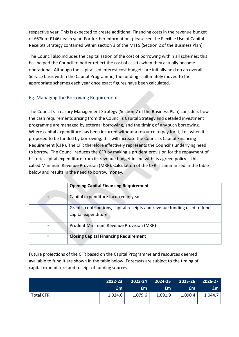respective year. This is expected to create additional Financing costs in the revenue budget of £67k to £146k each year. For further information, please see the Flexible Use of Capital Receipts Strategy contained within section 3 of the MTFS (Section 2 of the Business Plan).

The Council also includes the capitalisation of the cost of borrowing within all schemes; this has helped the Council to better reflect the cost of assets when they actually become operational. Although the capitalised interest cost budgets are initially held on an overall Service basis within the Capital Programme, the funding is ultimately moved to the appropriate schemes each year once exact figures have been calculated.

# 6g. Managing the Borrowing Requirement

The Council's Treasury Management Strategy (Section 7 of the Business Plan) considers how the cash requirements arising from the Council's Capital Strategy and detailed investment programme are managed by external borrowing, and the timing of any such borrowing. Where capital expenditure has been incurred without a resource to pay for it, i.e., when it is proposed to be funded by borrowing, this will increase the Council's Capital Financing Requirement (CFR). The CFR therefore effectively represents the Council's underlying need to borrow. The Council reduces the CFR by making a prudent provision for the repayment of historic capital expenditure from its revenue budget in line with its agreed policy – this is called Minimum Revenue Provision (MRP). Calculation of the CFR is summarised in the table below and results in the need to borrow money.

| <b>Opening Capital Financing Requirement</b>                                                    |
|-------------------------------------------------------------------------------------------------|
| Capital expenditure incurred in year                                                            |
| Grants, contributions, capital receipts and revenue funding used to fund<br>capital expenditure |
| Prudent Minimum Revenue Provision (MRP)                                                         |
| <b>Closing Capital Financing Requirement</b>                                                    |

Future projections of the CFR based on the Capital Programme and resources deemed available to fund it are shown in the table below. Forecasts are subject to the timing of capital expenditure and receipt of funding sources.

|                  | $2022 - 23$ |         |         | 2023-24 2024-25 2025-26 2026-27 |         |
|------------------|-------------|---------|---------|---------------------------------|---------|
|                  | Em          | £m      | £m      | £m.                             | £m.     |
| <b>Total CFR</b> | 1,024.6     | 1,079.6 | 1,091.9 | 1,090.4                         | 1,044.7 |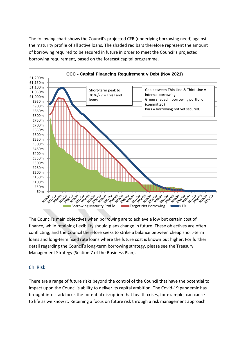The following chart shows the Council's projected CFR (underlying borrowing need) against the maturity profile of all active loans. The shaded red bars therefore represent the amount of borrowing required to be secured in future in order to meet the Council's projected borrowing requirement, based on the forecast capital programme.



The Council's main objectives when borrowing are to achieve a low but certain cost of finance, while retaining flexibility should plans change in future. These objectives are often conflicting, and the Council therefore seeks to strike a balance between cheap short-term loans and long-term fixed rate loans where the future cost is known but higher. For further detail regarding the Council's long-term borrowing strategy, please see the Treasury Management Strategy (Section 7 of the Business Plan).

# 6h. Risk

There are a range of future risks beyond the control of the Council that have the potential to impact upon the Council's ability to deliver its capital ambition. The Covid-19 pandemic has brought into stark focus the potential disruption that health crises, for example, can cause to life as we know it. Retaining a focus on future risk through a risk management approach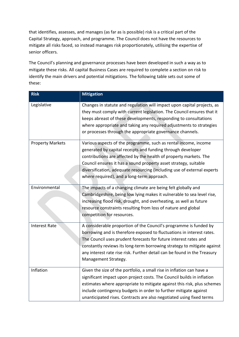that identifies, assesses, and manages (as far as is possible) risk is a critical part of the Capital Strategy, approach, and programme. The Council does not have the resources to mitigate all risks faced, so instead manages risk proportionately, utilising the expertise of senior officers.

The Council's planning and governance processes have been developed in such a way as to mitigate these risks. All capital Business Cases are required to complete a section on risk to identify the main drivers and potential mitigations. The following table sets out some of these:

| <b>Risk</b>             | <b>Mitigation</b>                                                                                                                                                                                                                                                                                                                                                                                |
|-------------------------|--------------------------------------------------------------------------------------------------------------------------------------------------------------------------------------------------------------------------------------------------------------------------------------------------------------------------------------------------------------------------------------------------|
| Legislative             | Changes in statute and regulation will impact upon capital projects, as<br>they must comply with current legislation. The Council ensures that it<br>keeps abreast of these developments, responding to consultations<br>where appropriate and taking any required adjustments to strategies<br>or processes through the appropriate governance channels.                                        |
| <b>Property Markets</b> | Various aspects of the programme, such as rental income, income<br>generated by capital receipts and funding through developer<br>contributions are affected by the health of property markets. The<br>Council ensures it has a sound property asset strategy, suitable<br>diversification, adequate resourcing (including use of external experts<br>where required), and a long-term approach. |
| Environmental           | The impacts of a changing climate are being felt globally and<br>Cambridgeshire, being low lying makes it vulnerable to sea level rise,<br>increasing flood risk, drought, and overheating, as well as future<br>resource constraints resulting from loss of nature and global<br>competition for resources.                                                                                     |
| <b>Interest Rate</b>    | A considerable proportion of the Council's programme is funded by<br>borrowing and is therefore exposed to fluctuations in interest rates.<br>The Council uses prudent forecasts for future interest rates and<br>constantly reviews its long-term borrowing strategy to mitigate against<br>any interest rate rise risk. Further detail can be found in the Treasury<br>Management Strategy.    |
| Inflation               | Given the size of the portfolio, a small rise in inflation can have a<br>significant impact upon project costs. The Council builds in inflation<br>estimates where appropriate to mitigate against this risk, plus schemes<br>include contingency budgets in order to further mitigate against<br>unanticipated rises. Contracts are also negotiated using fixed terms                           |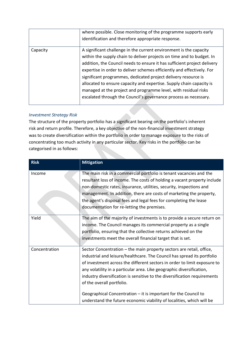|          | where possible. Close monitoring of the programme supports early<br>identification and therefore appropriate response.                                                                                                                                                                                                                                                                                                                                                                                                                                                             |
|----------|------------------------------------------------------------------------------------------------------------------------------------------------------------------------------------------------------------------------------------------------------------------------------------------------------------------------------------------------------------------------------------------------------------------------------------------------------------------------------------------------------------------------------------------------------------------------------------|
| Capacity | A significant challenge in the current environment is the capacity<br>within the supply chain to deliver projects on time and to budget. In<br>addition, the Council needs to ensure it has sufficient project delivery<br>expertise in order to deliver schemes efficiently and effectively. For<br>significant programmes, dedicated project delivery resource is<br>allocated to ensure capacity and expertise. Supply chain capacity is<br>managed at the project and programme level, with residual risks<br>escalated through the Council's governance process as necessary. |

# *Investment Strategy Risk*

The structure of the property portfolio has a significant bearing on the portfolio's inherent risk and return profile. Therefore, a key objective of the non-financial investment strategy was to create diversification within the portfolio in order to manage exposure to the risks of concentrating too much activity in any particular sector. Key risks in the portfolio can be categorised in as follows:

| <b>Risk</b>   | <b>Mitigation</b>                                                                                                                                                                                                                                                                                                                                                                                                                                                                                                                                            |
|---------------|--------------------------------------------------------------------------------------------------------------------------------------------------------------------------------------------------------------------------------------------------------------------------------------------------------------------------------------------------------------------------------------------------------------------------------------------------------------------------------------------------------------------------------------------------------------|
| Income        | The main risk in a commercial portfolio is tenant vacancies and the<br>resultant loss of income. The costs of holding a vacant property include<br>non-domestic rates, insurance, utilities, security, inspections and<br>management. In addition, there are costs of marketing the property,<br>the agent's disposal fees and legal fees for completing the lease<br>documentation for re-letting the premises.                                                                                                                                             |
| Yield         | The aim of the majority of investments is to provide a secure return on<br>income. The Council manages its commercial property as a single<br>portfolio, ensuring that the collective returns achieved on the<br>investments meet the overall financial target that is set.                                                                                                                                                                                                                                                                                  |
| Concentration | Sector Concentration - the main property sectors are retail, office,<br>industrial and leisure/healthcare. The Council has spread its portfolio<br>of investment across the different sectors in order to limit exposure to<br>any volatility in a particular area. Like geographic diversification,<br>industry diversification is sensitive to the diversification requirements<br>of the overall portfolio.<br>Geographical Concentration $-$ it is important for the Council to<br>understand the future economic viability of localities, which will be |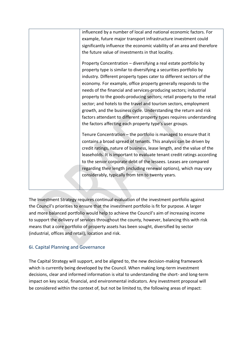influenced by a number of local and national economic factors. For example, future major transport infrastructure investment could significantly influence the economic viability of an area and therefore the future value of investments in that locality.

Property Concentration – diversifying a real estate portfolio by property type is similar to diversifying a securities portfolio by industry. Different property types cater to different sectors of the economy. For example, office property generally responds to the needs of the financial and services-producing sectors; industrial property to the goods-producing sectors; retail property to the retail sector; and hotels to the travel and tourism sectors, employment growth, and the business cycle. Understanding the return and risk factors attendant to different property types requires understanding the factors affecting each property type's user groups.

Tenure Concentration – the portfolio is managed to ensure that it contains a broad spread of tenants. This analysis can be driven by credit ratings, nature of business, lease length, and the value of the leaseholds. It is important to evaluate tenant credit ratings according to the senior corporate debt of the lessees. Leases are compared regarding their length (including renewal options), which may vary considerably, typically from ten to twenty years.

The Investment Strategy requires continual evaluation of the investment portfolio against the Council's priorities to ensure that the investment portfolio is fit for purpose. A larger and more balanced portfolio would help to achieve the Council's aim of increasing income to support the delivery of services throughout the county, however, balancing this with risk means that a core portfolio of property assets has been sought, diversified by sector (industrial, offices and retail), location and risk.

# 6i. Capital Planning and Governance

The Capital Strategy will support, and be aligned to, the new decision-making framework which is currently being developed by the Council. When making long-term investment decisions, clear and informed information is vital to understanding the short- and long-term impact on key social, financial, and environmental indicators. Any investment proposal will be considered within the context of, but not be limited to, the following areas of impact: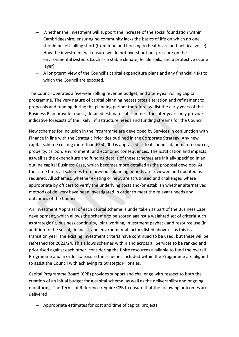- − Whether the investment will support the increase of the social foundation within Cambridgeshire; ensuring no community lacks the basics of life on which no one should be left falling short (from food and housing to healthcare and political voice).
- − How the investment will ensure we do not overshoot our pressure on the environmental systems (such as a stable climate, fertile soils, and a protective ozone layer).
- − A long-term view of the Council's capital expenditure plans and any financial risks to which the Council are exposed.

The Council operates a five-year rolling revenue budget, and a ten-year rolling capital programme. The very nature of capital planning necessitates alteration and refinement to proposals and funding during the planning period; therefore, whilst the early years of the Business Plan provide robust, detailed estimates of schemes, the later years only provide indicative forecasts of the likely infrastructure needs and funding streams for the Council.

New schemes for inclusion in the Programme are developed by Services in conjunction with Finance in line with the Strategic Priorities outlined in the Corporate Strategy. Any new capital scheme costing more than £250,000 is appraised as to its financial, human resources, property, carbon, environment, and economic consequences. The justification and impacts, as well as the expenditure and funding details of these schemes are initially specified in an outline capital Business Case, which becomes more detailed as the proposal develops. At the same time, all schemes from previous planning periods are reviewed and updated as required. All schemes, whether existing or new, are scrutinised and challenged where appropriate by officers to verify the underlying costs and/or establish whether alternatives methods of delivery have been investigated in order to meet the relevant needs and outcomes of the Council.

An Investment Appraisal of each capital scheme is undertaken as part of the Business Case development, which allows the scheme to be scored against a weighted set of criteria such as strategic fit, business continuity, joint working, investment payback and resource use (in addition to the social, financial, and environmental factors listed above) – as this is a transition year, the existing investment criteria have continued to be used, but these will be refreshed for 2023/24. This allows schemes within and across all Services to be ranked and prioritised against each other, considering the finite resources available to fund the overall Programme and in order to ensure the schemes included within the Programme are aligned to assist the Council with achieving its Strategic Priorities.

Capital Programme Board (CPB) provides support and challenge with respect to both the creation of an initial budget for a capital scheme, as well as the deliverability and ongoing monitoring. The Terms of Reference require CPB to ensure that the following outcomes are delivered:

− Appropriate estimates for cost and time of capital projects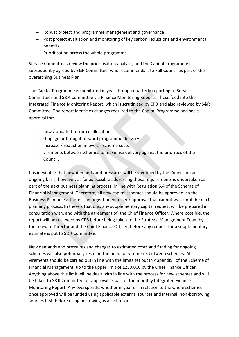- − Robust project and programme management and governance
- − Post project evaluation and monitoring of key carbon reductions and environmental benefits
- − Prioritisation across the whole programme.

Service Committees review the prioritisation analysis, and the Capital Programme is subsequently agreed by S&R Committee, who recommends it to Full Council as part of the overarching Business Plan.

The Capital Programme is monitored in year through quarterly reporting to Service Committees and S&R Committee via Finance Monitoring Reports. These feed into the Integrated Finance Monitoring Report, which is scrutinised by CPB and also reviewed by S&R Committee. The report identifies changes required to the Capital Programme and seeks approval for:

- − new / updated resource allocations
- − slippage or brought forward programme delivery
- − increase / reduction in overall scheme costs
- − virements between schemes to maximise delivery against the priorities of the Council.

It is inevitable that new demands and pressures will be identified by the Council on an ongoing basis, however, as far as possible addressing these requirements is undertaken as part of the next business planning process, in line with Regulation 6.4 of the Scheme of Financial Management. Therefore, all new capital schemes should be approved via the Business Plan unless there is an urgent need to seek approval that cannot wait until the next planning process. In these situations, any supplementary capital request will be prepared in consultation with, and with the agreement of, the Chief Finance Officer. Where possible, the report will be reviewed by CPB before being taken to the Strategic Management Team by the relevant Director and the Chief Finance Officer, before any request for a supplementary estimate is put to S&R Committee.

New demands and pressures and changes to estimated costs and funding for ongoing schemes will also potentially result in the need for virements between schemes. All virements should be carried out in line with the limits set out in Appendix I of the Scheme of Financial Management, up to the upper limit of £250,000 by the Chief Finance Officer. Anything above this limit will be dealt with in line with the process for new schemes and will be taken to S&R Committee for approval as part of the monthly Integrated Finance Monitoring Report. Any overspends, whether in year or in relation to the whole scheme, once approved will be funded using applicable external sources and internal, non-borrowing sources first, before using borrowing as a last resort.